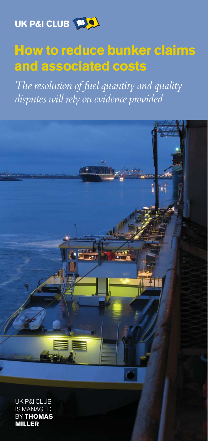

# How to reduce bunker claims and associated costs

The resolution of fuel quantity and quality disputes will rely on evidence provided



MILLER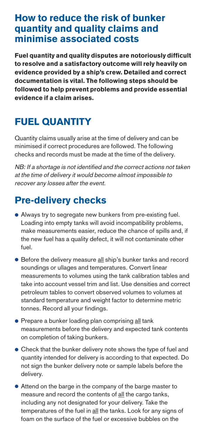#### How to reduce the risk of bunker quantity and quality claims and minimise associated costs

Fuel quantity and quality disputes are notoriously difficult to resolve and a satisfactory outcome will rely heavily on evidence provided by a ship's crew. Detailed and correct documentation is vital. The following steps should be followed to help prevent problems and provide essential evidence if a claim arises.

# FUEL QUANTITY

Quantity claims usually arise at the time of delivery and can be minimised if correct procedures are followed. The following checks and records must be made at the time of the delivery.

NB: If a shortage is not identified and the correct actions not taken at the time of delivery it would become almost impossible to recover any losses after the event.

#### Pre-delivery checks

- Always try to segregate new bunkers from pre-existing fuel. Loading into empty tanks will avoid incompatibility problems, make measurements easier, reduce the chance of spills and, if the new fuel has a quality defect, it will not contaminate other fuel.
- Before the delivery measure all ship's bunker tanks and record soundings or ullages and temperatures. Convert linear measurements to volumes using the tank calibration tables and take into account vessel trim and list. Use densities and correct petroleum tables to convert observed volumes to volumes at standard temperature and weight factor to determine metric tonnes. Record all your findings.
- Prepare a bunker loading plan comprising all tank measurements before the delivery and expected tank contents on completion of taking bunkers.
- Check that the bunker delivery note shows the type of fuel and quantity intended for delivery is according to that expected. Do not sign the bunker delivery note or sample labels before the delivery.
- Attend on the barge in the company of the barge master to measure and record the contents of all the cargo tanks, including any not designated for your delivery. Take the temperatures of the fuel in all the tanks. Look for any signs of foam on the surface of the fuel or excessive bubbles on the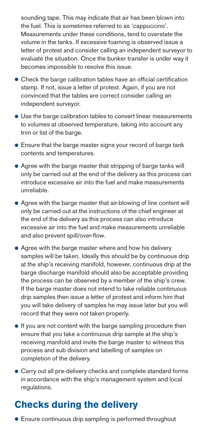sounding tape. This may indicate that air has been blown into the fuel. This is sometimes referred to as 'cappuccino'. Measurements under these conditions, tend to overstate the volume in the tanks. If excessive foaming is observed issue a letter of protest and consider calling an independent surveyor to evaluate the situation. Once the bunker transfer is under way it becomes impossible to resolve this issue.

- Check the barge calibration tables have an official certification stamp. If not, issue a letter of protest. Again, if you are not convinced that the tables are correct consider calling an independent surveyor.
- Use the barge calibration tables to convert linear measurements to volumes at observed temperature, taking into account any trim or list of the barge.
- Ensure that the barge master signs your record of barge tank contents and temperatures.
- Agree with the barge master that stripping of barge tanks will only be carried out at the end of the delivery as this process can introduce excessive air into the fuel and make measurements unreliable.
- Agree with the barge master that air-blowing of line content will only be carried out at the instructions of the chief engineer at the end of the delivery as this process can also introduce excessive air into the fuel and make measurements unreliable and also prevent spill/over-flow.
- Agree with the barge master where and how his delivery samples will be taken. Ideally this should be by continuous drip at the ship's receiving manifold, however, continuous drip at the barge discharge manifold should also be acceptable providing the process can be observed by a member of the ship's crew. If the barge master does not intend to take reliable continuous drip samples then issue a letter of protest and inform him that you will take delivery of samples he may issue later but you will record that they were not taken properly.
- If you are not content with the barge sampling procedure then ensure that you take a continuous drip sample at the ship's receiving manifold and invite the barge master to witness this process and sub division and labelling of samples on completion of the delivery.
- Carry out all pre-delivery checks and complete standard forms in accordance with the ship's management system and local regulations.

### Checks during the delivery

● Ensure continuous drip sampling is performed throughout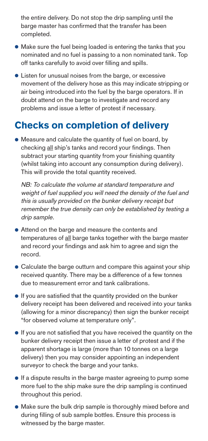the entire delivery. Do not stop the drip sampling until the barge master has confirmed that the transfer has been completed.

- Make sure the fuel being loaded is entering the tanks that you nominated and no fuel is passing to a non nominated tank. Top off tanks carefully to avoid over filling and spills.
- Listen for unusual noises from the barge, or excessive movement of the delivery hose as this may indicate stripping or air being introduced into the fuel by the barge operators. If in doubt attend on the barge to investigate and record any problems and issue a letter of protest if necessary.

#### Checks on completion of delivery

● Measure and calculate the quantity of fuel on board, by checking all ship's tanks and record your findings. Then subtract your starting quantity from your finishing quantity (whilst taking into account any consumption during delivery). This will provide the total quantity received.

NB: To calculate the volume at standard temperature and weight of fuel supplied you will need the density of the fuel and this is usually provided on the bunker delivery receipt but remember the true density can only be established by testing a drip sample.

- Attend on the barge and measure the contents and temperatures of all barge tanks together with the barge master and record your findings and ask him to agree and sign the record.
- Calculate the barge outturn and compare this against your ship received quantity. There may be a difference of a few tonnes due to measurement error and tank calibrations.
- If you are satisfied that the quantity provided on the bunker delivery receipt has been delivered and received into your tanks (allowing for a minor discrepancy) then sign the bunker receipt "for observed volume at temperature only".
- If you are not satisfied that you have received the quantity on the bunker delivery receipt then issue a letter of protest and if the apparent shortage is large (more than 10 tonnes on a large delivery) then you may consider appointing an independent surveyor to check the barge and your tanks.
- If a dispute results in the barge master agreeing to pump some more fuel to the ship make sure the drip sampling is continued throughout this period.
- Make sure the bulk drip sample is thoroughly mixed before and during filling of sub sample bottles. Ensure this process is witnessed by the barge master.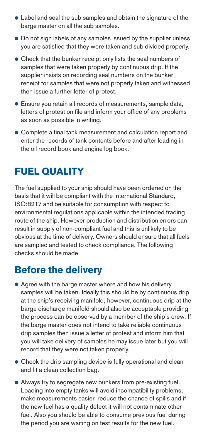- Label and seal the sub samples and obtain the signature of the barge master on all the sub samples.
- Do not sign labels of any samples issued by the supplier unless you are satisfied that they were taken and sub divided properly.
- Check that the bunker receipt only lists the seal numbers of samples that were taken properly by continuous drip. If the supplier insists on recording seal numbers on the bunker receipt for samples that were not properly taken and witnessed then issue a further letter of protest.
- Ensure you retain all records of measurements, sample data, letters of protest on file and inform your office of any problems as soon as possible in writing.
- Complete a final tank measurement and calculation report and enter the records of tank contents before and after loading in the oil record book and engine log book.

#### FUEL QUALITY

The fuel supplied to your ship should have been ordered on the basis that it will be compliant with the International Standard, ISO:8217 and be suitable for consumption with respect to environmental regulations applicable within the intended trading route of the ship. However production and distribution errors can result in supply of non-compliant fuel and this is unlikely to be obvious at the time of delivery. Owners should ensure that all fuels are sampled and tested to check compliance. The following checks should be made.

#### Before the delivery

- Agree with the barge master where and how his delivery samples will be taken. Ideally this should be by continuous drip at the ship's receiving manifold, however, continuous drip at the barge discharge manifold should also be acceptable providing the process can be observed by a member of the ship's crew. If the barge master does not intend to take reliable continuous drip samples then issue a letter of protest and inform him that you will take delivery of samples he may issue later but you will record that they were not taken properly.
- Check the drip sampling device is fully operational and clean and fit a clean collection bag.
- Always try to segregate new bunkers from pre-existing fuel. Loading into empty tanks will avoid incompatibility problems, make measurements easier, reduce the chance of spills and if the new fuel has a quality defect it will not contaminate other fuel. Also you should be able to consume previous fuel during the period you are waiting on test results for the new fuel.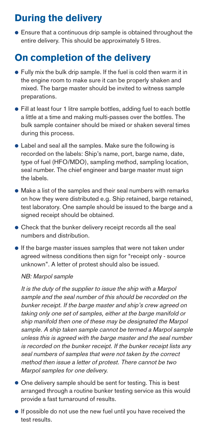## During the delivery

● Ensure that a continuous drip sample is obtained throughout the entire delivery. This should be approximately 5 litres.

#### On completion of the delivery

- Fully mix the bulk drip sample. If the fuel is cold then warm it in the engine room to make sure it can be properly shaken and mixed. The barge master should be invited to witness sample preparations.
- Fill at least four 1 litre sample bottles, adding fuel to each bottle a little at a time and making multi-passes over the bottles. The bulk sample container should be mixed or shaken several times during this process.
- Label and seal all the samples. Make sure the following is recorded on the labels: Ship's name, port, barge name, date, type of fuel (HFO/MDO), sampling method, sampling location, seal number. The chief engineer and barge master must sign the labels.
- Make a list of the samples and their seal numbers with remarks on how they were distributed e.g. Ship retained, barge retained, test laboratory. One sample should be issued to the barge and a signed receipt should be obtained.
- Check that the bunker delivery receipt records all the seal numbers and distribution.
- If the barge master issues samples that were not taken under agreed witness conditions then sign for "receipt only - source unknown". A letter of protest should also be issued.

#### NB: Marpol sample

It is the duty of the supplier to issue the ship with a Marpol sample and the seal number of this should be recorded on the bunker receipt. If the barge master and ship's crew agreed on taking only one set of samples, either at the barge manifold or ship manifold then one of these may be designated the Marpol sample. A ship taken sample cannot be termed a Marpol sample unless this is agreed with the barge master and the seal number is recorded on the bunker receipt. If the bunker receipt lists any seal numbers of samples that were not taken by the correct method then issue a letter of protest. There cannot be two Marpol samples for one delivery.

- One delivery sample should be sent for testing. This is best arranged through a routine bunker testing service as this would provide a fast turnaround of results.
- If possible do not use the new fuel until you have received the test results.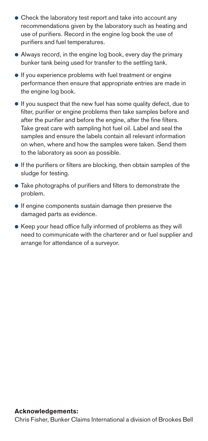- Check the laboratory test report and take into account any recommendations given by the laboratory such as heating and use of purifiers. Record in the engine log book the use of purifiers and fuel temperatures.
- Always record, in the engine log book, every day the primary bunker tank being used for transfer to the settling tank.
- If you experience problems with fuel treatment or engine performance then ensure that appropriate entries are made in the engine log book.
- If you suspect that the new fuel has some quality defect, due to filter, purifier or engine problems then take samples before and after the purifier and before the engine, after the fine filters. Take great care with sampling hot fuel oil. Label and seal the samples and ensure the labels contain all relevant information on when, where and how the samples were taken. Send them to the laboratory as soon as possible.
- If the purifiers or filters are blocking, then obtain samples of the sludge for testing.
- Take photographs of purifiers and filters to demonstrate the problem.
- If engine components sustain damage then preserve the damaged parts as evidence.
- Keep your head office fully informed of problems as they will need to communicate with the charterer and or fuel supplier and arrange for attendance of a surveyor.